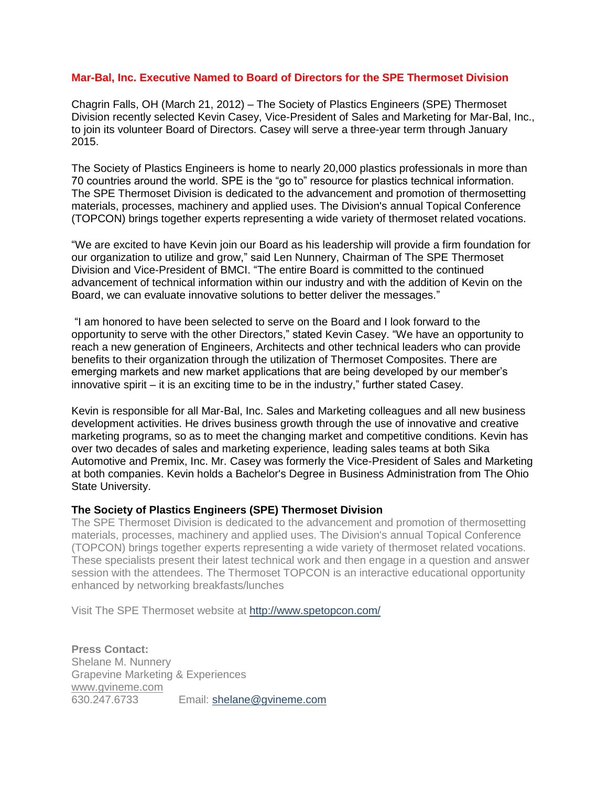## **Mar-Bal, Inc. Executive Named to Board of Directors for the SPE Thermoset Division**

Chagrin Falls, OH (March 21, 2012) – The Society of Plastics Engineers (SPE) Thermoset Division recently selected Kevin Casey, Vice-President of Sales and Marketing for Mar-Bal, Inc., to join its volunteer Board of Directors. Casey will serve a three-year term through January 2015.

The Society of Plastics Engineers is home to nearly 20,000 plastics professionals in more than 70 countries around the world. SPE is the "go to" resource for plastics technical information. The SPE Thermoset Division is dedicated to the advancement and promotion of thermosetting materials, processes, machinery and applied uses. The Division's annual Topical Conference (TOPCON) brings together experts representing a wide variety of thermoset related vocations.

"We are excited to have Kevin join our Board as his leadership will provide a firm foundation for our organization to utilize and grow," said Len Nunnery, Chairman of The SPE Thermoset Division and Vice-President of BMCI. "The entire Board is committed to the continued advancement of technical information within our industry and with the addition of Kevin on the Board, we can evaluate innovative solutions to better deliver the messages."

"I am honored to have been selected to serve on the Board and I look forward to the opportunity to serve with the other Directors," stated Kevin Casey. "We have an opportunity to reach a new generation of Engineers, Architects and other technical leaders who can provide benefits to their organization through the utilization of Thermoset Composites. There are emerging markets and new market applications that are being developed by our member's innovative spirit – it is an exciting time to be in the industry," further stated Casey.

Kevin is responsible for all Mar-Bal, Inc. Sales and Marketing colleagues and all new business development activities. He drives business growth through the use of innovative and creative marketing programs, so as to meet the changing market and competitive conditions. Kevin has over two decades of sales and marketing experience, leading sales teams at both Sika Automotive and Premix, Inc. Mr. Casey was formerly the Vice-President of Sales and Marketing at both companies. Kevin holds a Bachelor's Degree in Business Administration from The Ohio State University.

## **The Society of Plastics Engineers (SPE) Thermoset Division**

The SPE Thermoset Division is dedicated to the advancement and promotion of thermosetting materials, processes, machinery and applied uses. The Division's annual Topical Conference (TOPCON) brings together experts representing a wide variety of thermoset related vocations. These specialists present their latest technical work and then engage in a question and answer session with the attendees. The Thermoset TOPCON is an interactive educational opportunity enhanced by networking breakfasts/lunches

Visit The SPE Thermoset website at<http://www.spetopcon.com/>

**Press Contact:** Shelane M. Nunnery Grapevine Marketing & Experiences [www.gvineme.com](http://www.gvineme.com/)<br>630.247.6733 Email: [shelane@gvineme.com](mailto:shelane@gvineme.com)